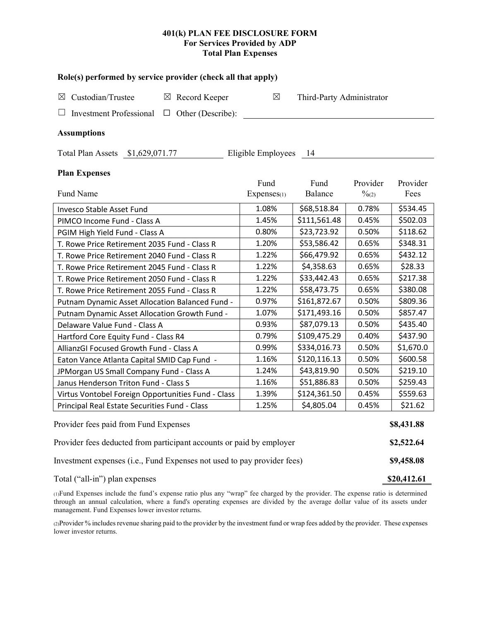# **401(k) PLAN FEE DISCLOSURE FORM For Services Provided by ADP Total Plan Expenses**

| Role(s) performed by service provider (check all that apply)            |                     |                           |                               |                  |  |  |  |  |  |
|-------------------------------------------------------------------------|---------------------|---------------------------|-------------------------------|------------------|--|--|--|--|--|
| Custodian/Trustee<br>$\boxtimes$ Record Keeper<br>⊠                     | $\boxtimes$         | Third-Party Administrator |                               |                  |  |  |  |  |  |
| <b>Investment Professional</b><br>$\Box$ Other (Describe):              |                     |                           |                               |                  |  |  |  |  |  |
|                                                                         |                     |                           |                               |                  |  |  |  |  |  |
| <b>Assumptions</b>                                                      |                     |                           |                               |                  |  |  |  |  |  |
| Eligible Employees 14<br>Total Plan Assets \$1,629,071.77               |                     |                           |                               |                  |  |  |  |  |  |
| <b>Plan Expenses</b>                                                    |                     |                           |                               |                  |  |  |  |  |  |
| Fund Name                                                               | Fund<br>Expenses(1) | Fund<br>Balance           | Provider<br>$\frac{0}{2}$ (2) | Provider<br>Fees |  |  |  |  |  |
| Invesco Stable Asset Fund                                               | 1.08%               | \$68,518.84               | 0.78%                         | \$534.45         |  |  |  |  |  |
| PIMCO Income Fund - Class A                                             | 1.45%               | \$111,561.48              | 0.45%                         | \$502.03         |  |  |  |  |  |
| PGIM High Yield Fund - Class A                                          | 0.80%               | \$23,723.92               | 0.50%                         | \$118.62         |  |  |  |  |  |
| T. Rowe Price Retirement 2035 Fund - Class R                            | 1.20%               | \$53,586.42               | 0.65%                         | \$348.31         |  |  |  |  |  |
| T. Rowe Price Retirement 2040 Fund - Class R                            | 1.22%               | \$66,479.92               | 0.65%                         | \$432.12         |  |  |  |  |  |
| T. Rowe Price Retirement 2045 Fund - Class R                            | 1.22%               | \$4,358.63                | 0.65%                         | \$28.33          |  |  |  |  |  |
| T. Rowe Price Retirement 2050 Fund - Class R                            | 1.22%               | \$33,442.43               | 0.65%                         | \$217.38         |  |  |  |  |  |
| T. Rowe Price Retirement 2055 Fund - Class R                            | 1.22%               | \$58,473.75               | 0.65%                         | \$380.08         |  |  |  |  |  |
| Putnam Dynamic Asset Allocation Balanced Fund -                         | 0.97%               | \$161,872.67              | 0.50%                         | \$809.36         |  |  |  |  |  |
| Putnam Dynamic Asset Allocation Growth Fund -                           | 1.07%               | \$171,493.16              | 0.50%                         | \$857.47         |  |  |  |  |  |
| Delaware Value Fund - Class A                                           | 0.93%               | \$87,079.13               | 0.50%                         | \$435.40         |  |  |  |  |  |
| Hartford Core Equity Fund - Class R4                                    | 0.79%               | \$109,475.29              | 0.40%                         | \$437.90         |  |  |  |  |  |
| AllianzGI Focused Growth Fund - Class A                                 | 0.99%               | \$334,016.73              | 0.50%                         | \$1,670.0        |  |  |  |  |  |
| Eaton Vance Atlanta Capital SMID Cap Fund -                             | 1.16%               | \$120,116.13              | 0.50%                         | \$600.58         |  |  |  |  |  |
| JPMorgan US Small Company Fund - Class A                                | 1.24%               | \$43,819.90               | 0.50%                         | \$219.10         |  |  |  |  |  |
| Janus Henderson Triton Fund - Class S                                   | 1.16%               | \$51,886.83               | 0.50%                         | \$259.43         |  |  |  |  |  |
| Virtus Vontobel Foreign Opportunities Fund - Class                      | 1.39%               | \$124,361.50              | 0.45%                         | \$559.63         |  |  |  |  |  |
| Principal Real Estate Securities Fund - Class                           | 1.25%               | \$4,805.04                | 0.45%                         | \$21.62          |  |  |  |  |  |
| Provider fees paid from Fund Expenses                                   |                     |                           |                               |                  |  |  |  |  |  |
| Provider fees deducted from participant accounts or paid by employer    |                     |                           |                               |                  |  |  |  |  |  |
| Investment expenses (i.e., Fund Expenses not used to pay provider fees) |                     |                           |                               |                  |  |  |  |  |  |
| Total ("all-in") plan expenses                                          |                     |                           |                               |                  |  |  |  |  |  |

(1)Fund Expenses include the fund's expense ratio plus any "wrap" fee charged by the provider. The expense ratio is determined through an annual calculation, where a fund's operating expenses are divided by the average dollar value of its assets under management. Fund Expenses lower investor returns.

(2)Provider % includes revenue sharing paid to the provider by the investment fund or wrap fees added by the provider. These expenses lower investor returns.